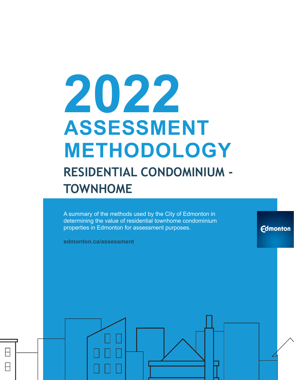# **2022 ASSESSMENT METHODOLOGY RESIDENTIAL CONDOMINIUM - TOWNHOME**

A summary of the methods used by the City of Edmonton in determining the value of residential townhome condominium properties in Edmonton for assessment purposes.

**Edmonton** 

**edmonton.ca/assessment**

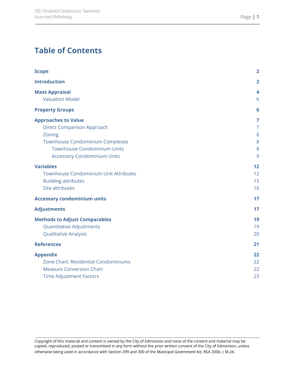# **Table of Contents**

| <b>Scope</b>                                                                                                                                                                                    | $\overline{2}$                          |
|-------------------------------------------------------------------------------------------------------------------------------------------------------------------------------------------------|-----------------------------------------|
| <b>Introduction</b>                                                                                                                                                                             | $\overline{2}$                          |
| <b>Mass Appraisal</b><br><b>Valuation Model</b>                                                                                                                                                 | 4<br>6                                  |
| <b>Property Groups</b>                                                                                                                                                                          | 6                                       |
| <b>Approaches to Value</b><br><b>Direct Comparison Approach</b><br>Zoning<br><b>Townhouse Condominium Complexes</b><br><b>Townhouse Condominium Units</b><br><b>Accessory Condominium Units</b> | 7<br>$\overline{7}$<br>8<br>8<br>8<br>9 |
| <b>Variables</b><br><b>Townhouse Condominium Unit Attributes</b><br><b>Building attributes</b><br>Site attributes                                                                               | 12<br>12<br>15<br>16                    |
| <b>Accessory condominium units</b>                                                                                                                                                              | 17                                      |
| <b>Adjustments</b>                                                                                                                                                                              | 17                                      |
| <b>Methods to Adjust Comparables</b><br><b>Quantitative Adjustments</b><br><b>Qualitative Analysis</b>                                                                                          | 19<br>19<br>20                          |
| <b>References</b>                                                                                                                                                                               | 21                                      |
| <b>Appendix</b><br>Zone Chart: Residential Condominiums<br><b>Measure Conversion Chart</b><br><b>Time Adjustment Factors</b>                                                                    | 22<br>22<br>22<br>23                    |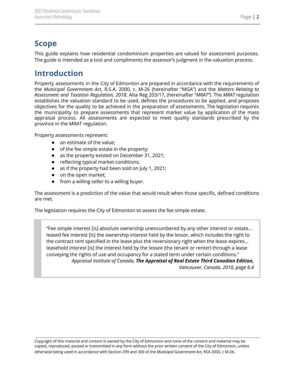## <span id="page-2-0"></span>**Scope**

This guide explains how residential condominium properties are valued for assessment purposes. The guide is intended as a tool and compliments the assessor's judgment in the valuation process.

# <span id="page-2-1"></span>**Introduction**

Property assessments in the City of Edmonton are prepared in accordance with the requirements of the *Municipal Government Act*, R.S.A. 2000, c. M-26 (hereinafter "MGA") and the *Matters Relating to Assessment and Taxation Regulation, 2018*, Alta Reg 203/17, (hereinafter "*MRAT*"). The *MRAT* regulation establishes the valuation standard to be used, defines the procedures to be applied, and proposes objectives for the quality to be achieved in the preparation of assessments. The legislation requires the municipality to prepare assessments that represent market value by application of the mass appraisal process. All assessments are expected to meet quality standards prescribed by the province in the MRAT regulation.

Property assessments represent:

- an estimate of the value;
- of the fee simple estate in the property;
- as the property existed on December 31, 2021;
- reflecting typical market conditions;
- as if the property had been sold on July 1, 2021;
- on the open market;
- from a willing seller to a willing buyer.

The assessment is a prediction of the value that would result when those specific, defined conditions are met.

The legislation requires the City of Edmonton to assess the fee simple estate.

"Fee simple interest [is] absolute ownership unencumbered by any other interest or estate… leased fee interest [is] the ownership interest held by the lessor, which includes the right to the contract rent specified in the lease plus the reversionary right when the lease expires… leasehold interest [is] the interest held by the lessee (the tenant or renter) through a lease conveying the rights of use and occupancy for a stated term under certain conditions." *Appraisal Institute of Canada, The Appraisal of Real Estate Third Canadian Edition,*

*Vancouver, Canada, 2010, page 6.4*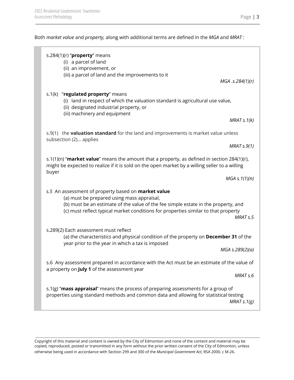Both *market value* and *property,* along with additional terms are defined in the *MGA* and *MRAT* :

|       | s.284(1)(r) " $proper$ y means<br>(i) a parcel of land<br>(ii) an improvement, or<br>(iii) a parcel of land and the improvements to it                                                                                                                                        |                      |
|-------|-------------------------------------------------------------------------------------------------------------------------------------------------------------------------------------------------------------------------------------------------------------------------------|----------------------|
|       |                                                                                                                                                                                                                                                                               | MGA.s.284(1)(r)      |
|       | s.1(k) "regulated property" means<br>(i) land in respect of which the valuation standard is agricultural use value,<br>(ii) designated industrial property, or<br>(iii) machinery and equipment                                                                               |                      |
|       |                                                                                                                                                                                                                                                                               | MRATs.1(k)           |
|       | s.9(1) the <b>valuation standard</b> for the land and improvements is market value unless<br>subsection (2) applies                                                                                                                                                           |                      |
|       |                                                                                                                                                                                                                                                                               | MRAT S.9(1)          |
|       | s.1(1)(n) "market value" means the amount that a property, as defined in section 284(1)(r),<br>might be expected to realize if it is sold on the open market by a willing seller to a willing                                                                                 |                      |
| buyer |                                                                                                                                                                                                                                                                               | $MGA \simeq 1(1)(n)$ |
|       | s.5 An assessment of property based on market value<br>(a) must be prepared using mass appraisal,<br>(b) must be an estimate of the value of the fee simple estate in the property, and<br>(c) must reflect typical market conditions for properties similar to that property | MRAT <sub>s.5</sub>  |
|       | s.289(2) Each assessment must reflect<br>(a) the characteristics and physical condition of the property on December 31 of the<br>year prior to the year in which a tax is imposed                                                                                             | MGA s.289(2)(a)      |
|       | s.6 Any assessment prepared in accordance with the Act must be an estimate of the value of<br>a property on July 1 of the assessment year                                                                                                                                     | MRAT <sub>s.6</sub>  |
|       | s.1(g) "mass appraisal" means the process of preparing assessments for a group of<br>properties using standard methods and common data and allowing for statistical testing                                                                                                   | MRAT $s.1(g)$        |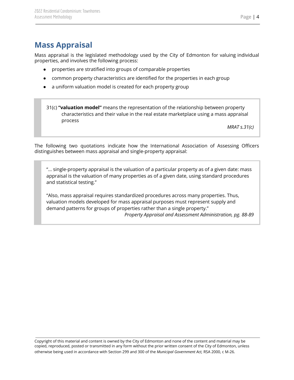# <span id="page-4-0"></span>**Mass Appraisal**

Mass appraisal is the legislated methodology used by the City of Edmonton for valuing individual properties, and involves the following process:

- properties are stratified into groups of comparable properties
- common property characteristics are identified for the properties in each group
- a uniform valuation model is created for each property group

31(c) **"valuation model"** means the representation of the relationship between property characteristics and their value in the real estate marketplace using a mass appraisal process

*MRAT s.31(c)*

The following two quotations indicate how the International Association of Assessing Officers distinguishes between mass appraisal and single-property appraisal:

"... single-property appraisal is the valuation of a particular property as of a given date: mass appraisal is the valuation of many properties as of a given date, using standard procedures and statistical testing."

"Also, mass appraisal requires standardized procedures across many properties. Thus, valuation models developed for mass appraisal purposes must represent supply and demand patterns for groups of properties rather than a single property."

*Property Appraisal and Assessment Administration, pg. 88-89*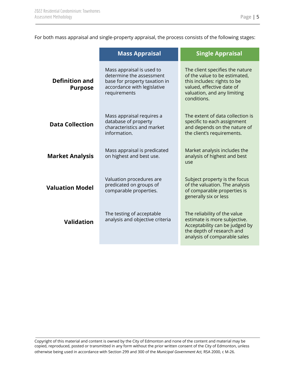For both mass appraisal and single-property appraisal, the process consists of the following stages:

|                                         | <b>Mass Appraisal</b>                                                                                                                 | <b>Single Appraisal</b>                                                                                                                                                    |
|-----------------------------------------|---------------------------------------------------------------------------------------------------------------------------------------|----------------------------------------------------------------------------------------------------------------------------------------------------------------------------|
| <b>Definition and</b><br><b>Purpose</b> | Mass appraisal is used to<br>determine the assessment<br>base for property taxation in<br>accordance with legislative<br>requirements | The client specifies the nature<br>of the value to be estimated,<br>this includes: rights to be<br>valued, effective date of<br>valuation, and any limiting<br>conditions. |
| <b>Data Collection</b>                  | Mass appraisal requires a<br>database of property<br>characteristics and market<br>information.                                       | The extent of data collection is<br>specific to each assignment<br>and depends on the nature of<br>the client's requirements.                                              |
| <b>Market Analysis</b>                  | Mass appraisal is predicated<br>on highest and best use.                                                                              | Market analysis includes the<br>analysis of highest and best<br>use                                                                                                        |
| <b>Valuation Model</b>                  | Valuation procedures are<br>predicated on groups of<br>comparable properties.                                                         | Subject property is the focus<br>of the valuation. The analysis<br>of comparable properties is<br>generally six or less                                                    |
| <b>Validation</b>                       | The testing of acceptable<br>analysis and objective criteria                                                                          | The reliability of the value<br>estimate is more subjective.<br>Acceptability can be judged by<br>the depth of research and<br>analysis of comparable sales                |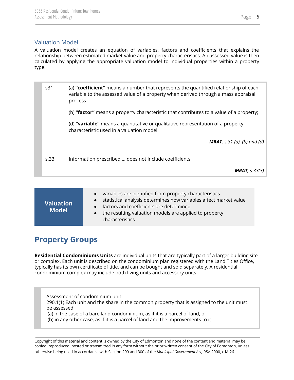## <span id="page-6-0"></span>Valuation Model

A valuation model creates an equation of variables, factors and coefficients that explains the relationship between estimated market value and property characteristics. An assessed value is then calculated by applying the appropriate valuation model to individual properties within a property type.

| s31  | (a) "coefficient" means a number that represents the quantified relationship of each<br>variable to the assessed value of a property when derived through a mass appraisal<br>process |
|------|---------------------------------------------------------------------------------------------------------------------------------------------------------------------------------------|
|      | (b) "factor" means a property characteristic that contributes to a value of a property;                                                                                               |
|      | (d) "variable" means a quantitative or qualitative representation of a property<br>characteristic used in a valuation model                                                           |
|      | <b>MRAT</b> , s.31 (a), (b) and (d)                                                                                                                                                   |
| s.33 | Information prescribed  does not include coefficients                                                                                                                                 |
|      | <b>MRAT</b> , $s.33(3)$                                                                                                                                                               |

| <b>Valuation</b><br><b>Model</b> | • variables are identified from property characteristics<br>• statistical analysis determines how variables affect market value<br>• factors and coefficients are determined<br>• the resulting valuation models are applied to property<br>characteristics |
|----------------------------------|-------------------------------------------------------------------------------------------------------------------------------------------------------------------------------------------------------------------------------------------------------------|
|----------------------------------|-------------------------------------------------------------------------------------------------------------------------------------------------------------------------------------------------------------------------------------------------------------|

# <span id="page-6-1"></span>**Property Groups**

**Residential Condominiums Units** are individual units that are typically part of a larger building site or complex. Each unit is described on the condominium plan registered with the Land Titles Office, typically has its own certificate of title, and can be bought and sold separately. A residential condominium complex may include both living units and accessory units.

Assessment of condominium unit

290.1(1) Each unit and the share in the common property that is assigned to the unit must be assessed

(a) in the case of a bare land condominium, as if it is a parcel of land, or

(b) in any other case, as if it is a parcel of land and the improvements to it.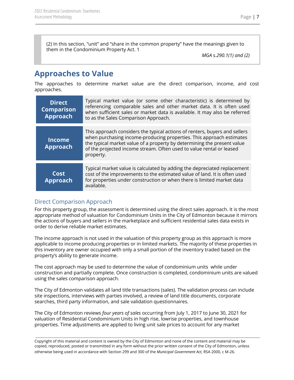(2) In this section, "unit" and "share in the common property" have the meanings given to them in the Condominium Property Act. 1

*MGA s.290.1(1) and (2)*

# <span id="page-7-0"></span>**Approaches to Value**

The approaches to determine market value are the direct comparison, income, and cost approaches.

| <b>Direct</b><br><b>Comparison</b><br>Approach | Typical market value (or some other characteristic) is determined by<br>referencing comparable sales and other market data. It is often used<br>when sufficient sales or market data is available. It may also be referred<br>to as the Sales Comparison Approach.                                                 |
|------------------------------------------------|--------------------------------------------------------------------------------------------------------------------------------------------------------------------------------------------------------------------------------------------------------------------------------------------------------------------|
| <b>Income</b><br><b>Approach</b>               | This approach considers the typical actions of renters, buyers and sellers<br>when purchasing income-producing properties. This approach estimates<br>the typical market value of a property by determining the present value<br>of the projected income stream. Often used to value rental or leased<br>property. |
| Cost<br><b>Approach</b>                        | Typical market value is calculated by adding the depreciated replacement<br>cost of the improvements to the estimated value of land. It is often used<br>for properties under construction or when there is limited market data<br>available.                                                                      |

## <span id="page-7-1"></span>Direct Comparison Approach

For this property group, the assessment is determined using the direct sales approach. It is the most appropriate method of valuation for Condominium Units in the City of Edmonton because it mirrors the actions of buyers and sellers in the marketplace and sufficient residential sales data exists in order to derive reliable market estimates.

The income approach is not used in the valuation of this property group as this approach is more applicable to income producing properties or in limited markets. The majority of these properties in this inventory are owner occupied with only a small portion of the inventory traded based on the property's ability to generate income.

The cost approach may be used to determine the value of condominium units while under construction and partially complete. Once construction is completed, condominium units are valued using the sales comparison approach.

The City of Edmonton validates all land title transactions (sales). The validation process can include site inspections, interviews with parties involved, a review of land title documents, corporate searches, third party information, and sale validation questionnaires.

The City of Edmonton reviews *four years of sales* occurring from July 1, 2017 to June 30, 2021 for valuation of Residential Condominium Units in high rise, lowrise properties, and townhouse properties. Time adjustments are applied to living unit sale prices to account for any market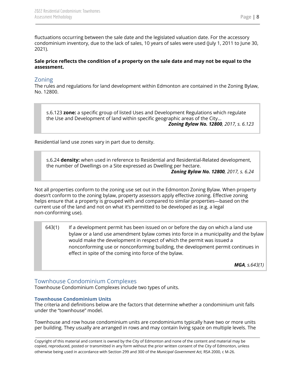fluctuations occurring between the sale date and the legislated valuation date. For the accessory condominium inventory, due to the lack of sales, 10 years of sales were used (July 1, 2011 to June 30,

## Sale price reflects the condition of a property on the sale date and may not be equal to the **assessment.**

## <span id="page-8-0"></span>Zoning

2021).

The rules and regulations for land development within Edmonton are contained in the Zoning Bylaw, No. 12800.

s.6.123 **zone:** a specific group of listed Uses and Development Regulations which regulate the Use and Development of land within specific geographic areas of the City...

*Zoning Bylaw No. 12800, 2017, s. 6.123*

Residential land use zones vary in part due to density.

s.6.24 **density:** when used in reference to Residential and Residential-Related development, the number of Dwellings on a Site expressed as Dwelling per hectare.

*Zoning Bylaw No. 12800, 2017, s. 6.24*

Not all properties conform to the zoning use set out in the Edmonton Zoning Bylaw. When property doesn't conform to the zoning bylaw, property assessors apply effective zoning. Effective zoning helps ensure that a property is grouped with and compared to similar properties—based on the current use of the land and not on what it's permitted to be developed as (e.g. a legal non-conforming use).

643(1) If a development permit has been issued on or before the day on which a land use bylaw or a land use amendment bylaw comes into force in a municipality and the bylaw would make the development in respect of which the permit was issued a nonconforming use or nonconforming building, the development permit continues in effect in spite of the coming into force of the bylaw.

*MGA, s.643(1)*

## <span id="page-8-1"></span>Townhouse Condominium Complexes

Townhouse Condominium Complexes include two types of units.

#### <span id="page-8-2"></span>**Townhouse Condominium Units**

The criteria and definitions below are the factors that determine whether a condominium unit falls under the "townhouse" model.

Townhouse and row house condominium units are condominiums typically have two or more units per building. They usually are arranged in rows and may contain living space on multiple levels. The

Copyright of this material and content is owned by the City of Edmonton and none of the content and material may be copied, reproduced, posted or transmitted in any form without the prior written consent of the City of Edmonton, unless otherwise being used in accordance with Section 299 and 300 of the *Municipal Government Act,* RSA 2000, c M-26.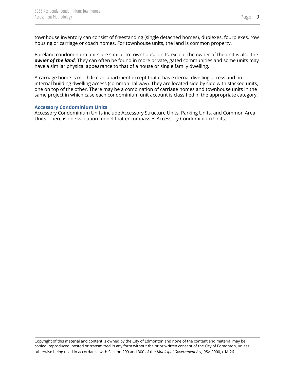townhouse inventory can consist of freestanding (single detached homes), duplexes, fourplexes, row housing or carriage or coach homes. For townhouse units, the land is common property.

Bareland condominium units are similar to townhouse units, except the owner of the unit is also the *owner of the land*. They can often be found in more private, gated communities and some units may have a similar physical appearance to that of a house or single family dwelling.

A carriage home is much like an apartment except that it has external dwelling access and no internal building dwelling access (common hallway). They are located side by side with stacked units, one on top of the other. There may be a combination of carriage homes and townhouse units in the same project in which case each condominium unit account is classified in the appropriate category.

#### <span id="page-9-0"></span>**Accessory Condominium Units**

Accessory Condominium Units include Accessory Structure Units, Parking Units, and Common Area Units. There is one valuation model that encompasses Accessory Condominium Units.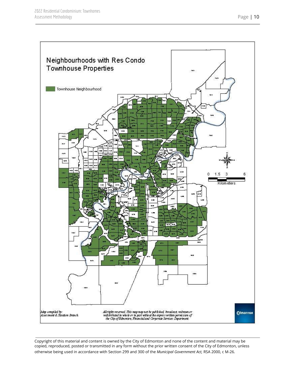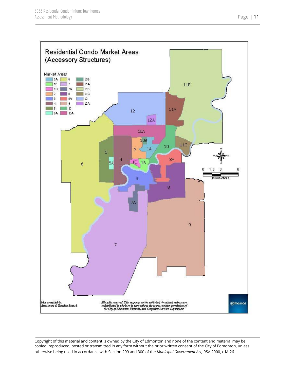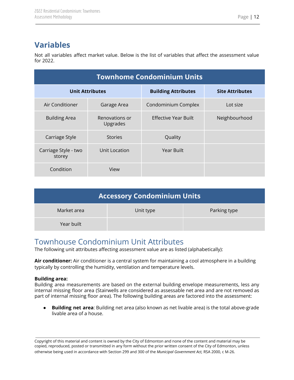# <span id="page-12-0"></span>**Variables**

Not all variables affect market value. Below is the list of variables that affect the assessment value for 2022.

| <b>Townhome Condominium Units</b>                                              |                            |                      |               |
|--------------------------------------------------------------------------------|----------------------------|----------------------|---------------|
| <b>Site Attributes</b><br><b>Unit Attributes</b><br><b>Building Attributes</b> |                            |                      |               |
| Air Conditioner                                                                | Garage Area                | Condominium Complex  | Lot size      |
| <b>Building Area</b>                                                           | Renovations or<br>Upgrades | Effective Year Built | Neighbourhood |
| Carriage Style                                                                 | <b>Stories</b>             | Quality              |               |
| Carriage Style - two<br>storey                                                 | Unit Location              | Year Built           |               |
| Condition                                                                      | View                       |                      |               |

| <b>Accessory Condominium Units</b> |           |              |
|------------------------------------|-----------|--------------|
| Market area                        | Unit type | Parking type |
| Year built                         |           |              |

# <span id="page-12-1"></span>Townhouse Condominium Unit Attributes

The following unit attributes affecting assessment value are as listed (alphabetically):

**Air conditioner:** Air conditioner is a central system for maintaining a cool atmosphere in a building typically by controlling the humidity, ventilation and temperature levels.

#### **Building area:**

Building area measurements are based on the external building envelope measurements, less any internal missing floor area (Stairwells are considered as assessable net area and are not removed as part of internal missing floor area). The following building areas are factored into the assessment:

● **Building net area**: Building net area (also known as net livable area) is the total above-grade livable area of a house.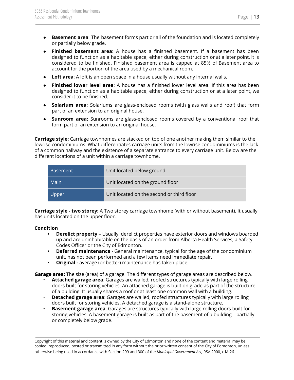- **Basement area**: The basement forms part or all of the foundation and is located completely or partially below grade.
- **Finished basement area**: A house has a finished basement. If a basement has been designed to function as a habitable space, either during construction or at a later point, it is considered to be finished. Finished basement area is capped at 85% of Basement area to account for the portion of the area used by a mechanical room.
- **Loft area**: A loft is an open space in a house usually without any internal walls.
- **Finished lower level area**: A house has a finished lower level area. If this area has been designed to function as a habitable space, either during construction or at a later point, we consider it to be finished.
- **Solarium area:** Solariums are glass-enclosed rooms (with glass walls and roof) that form part of an extension to an original house.
- **Sunroom area:** Sunrooms are glass-enclosed rooms covered by a conventional roof that form part of an extension to an original house.

**Carriage style:** Carriage townhomes are stacked on top of one another making them similar to the lowrise condominiums. What differentiates carriage units from the lowrise condominiums is the lack of a common hallway and the existence of a separate entrance to every carriage unit. Below are the different locations of a unit within a carriage townhome.

| <b>Basement</b> | Unit located below ground                 |
|-----------------|-------------------------------------------|
| Main            | Unit located on the ground floor          |
| Upper           | Unit located on the second or third floor |

**Carriage style - two storey:** A Two storey carriage townhome (with or without basement). It usually has units located on the upper floor.

## **Condition**

- **• Derelict property** Usually, derelict properties have exterior doors and windows boarded up and are uninhabitable on the basis of an order from Alberta Health Services, a Safety Codes Officer or the City of Edmonton.
- **• Deferred maintenance** General maintenance, typical for the age of the condominium unit, has not been performed and a few items need immediate repair.
- **• Original -** average (or better) maintenance has taken place.

**Garage area:** The size (area) of a garage. The different types of garage areas are described below.

- **Attached garage area**: Garages are walled, roofed structures typically with large rolling doors built for storing vehicles. An attached garage is built on grade as part of the structure of a building. It usually shares a roof or at least one common wall with a building.
- **Detached garage area**: Garages are walled, roofed structures typically with large rolling doors built for storing vehicles. A detached garage is a stand-alone structure.
- **Basement garage area**: Garages are structures typically with large rolling doors built for storing vehicles. A basement garage is built as part of the basement of a building—partially or completely below grade.

Copyright of this material and content is owned by the City of Edmonton and none of the content and material may be copied, reproduced, posted or transmitted in any form without the prior written consent of the City of Edmonton, unless otherwise being used in accordance with Section 299 and 300 of the *Municipal Government Act,* RSA 2000, c M-26.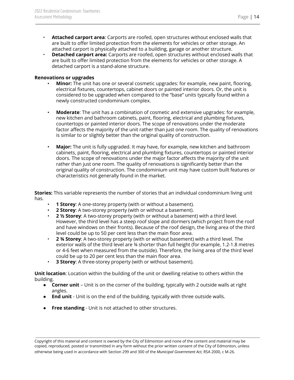- **Attached carport area**: Carports are roofed, open structures without enclosed walls that are built to offer limited protection from the elements for vehicles or other storage. An attached carport is physically attached to a building, garage or another structure.
- **Detached carport area:** Carports are roofed, open structures without enclosed walls that are built to offer limited protection from the elements for vehicles or other storage. A detached carport is a stand-alone structure.

#### **Renovations or upgrades**

- **Minor:** The unit has one or several cosmetic upgrades: for example, new paint, flooring, electrical fixtures, countertops, cabinet doors or painted interior doors. Or, the unit is considered to be upgraded when compared to the "base" units typically found within a newly constructed condominium complex.
- **Moderate**: The unit has a combination of cosmetic and extensive upgrades: for example, new kitchen and bathroom cabinets, paint, flooring, electrical and plumbing fixtures, countertops or painted interior doors. The scope of renovations under the moderate factor affects the majority of the unit rather than just one room. The quality of renovations is similar to or slightly better than the original quality of construction.
- **Major:** The unit is fully upgraded. It may have, for example, new kitchen and bathroom cabinets, paint, flooring, electrical and plumbing fixtures, countertops or painted interior doors. The scope of renovations under the major factor affects the majority of the unit rather than just one room. The quality of renovations is significantly better than the original quality of construction. The condominium unit may have custom built features or characteristics not generally found in the market.

**Stories:** This variable represents the number of stories that an individual condominium living unit has.

- **1 Storey**: A one-storey property (with or without a basement).
- **2 Storey**: A two-storey property (with or without a basement).
- **2 ½ Storey**: A two-storey property (with or without a basement) with a third level. However, the third level has a steep roof slope and dormers (which project from the roof and have windows on their fronts). Because of the roof design, the living area of the third level could be up to 50 per cent less than the main floor area.
- **2 ¾ Storey**: A two-storey property (with or without basement) with a third level. The exterior walls of the third level are ¾ shorter than full height (for example, 1.2-1.8 metres or 4-6 feet when measured from the outside). Therefore, the living area of the third level could be up to 20 per cent less than the main floor area.
- **3 Storey**: A three-storey property (with or without basement).

**Unit location**: Location within the building of the unit or dwelling relative to others within the building.

- **Corner unit** Unit is on the corner of the building, typically with 2 outside walls at right angles.
- **End unit** Unit is on the end of the building, typically with three outside walls.
- **Free standing** Unit is not attached to other structures.

Copyright of this material and content is owned by the City of Edmonton and none of the content and material may be copied, reproduced, posted or transmitted in any form without the prior written consent of the City of Edmonton, unless otherwise being used in accordance with Section 299 and 300 of the *Municipal Government Act,* RSA 2000, c M-26.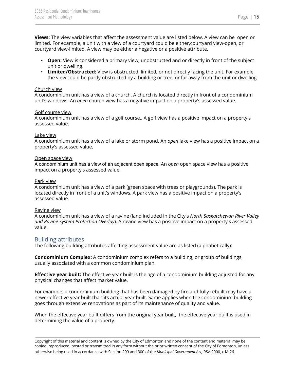**Views:** The view variables that affect the assessment value are listed below. A view can be open or limited. For example, a unit with a view of a courtyard could be either,courtyard view-open, or courtyard view-limited. A view may be either a negative or a positive attribute.

- **Open:** View is considered a primary view, unobstructed and or directly in front of the subject unit or dwelling.
- **Limited/Obstructed:** View is obstructed, limited, or not directly facing the unit. For example, the view could be partly obstructed by a building or tree, or far away from the unit or dwelling.

#### Church view

A condominium unit has a view of a church. A church is located directly in front of a condominium unit's windows. An *open* church view has a negative impact on a property's assessed value.

#### Golf course view

A condominium unit has a view of a golf course.. A golf view has a positive impact on a property's assessed value.

#### Lake view

A condominium unit has a view of a lake or storm pond. An *open* lake view has a positive impact on a property's assessed value.

#### Open space view

A condominium unit has a view of an adjacent open space. An *open* open space view has a positive impact on a property's assessed value.

#### Park view

A condominium unit has a view of a park (green space with trees or playgrounds). The park is located directly in front of a unit's windows. A park view has a positive impact on a property's assessed value.

#### Ravine view

A condominium unit has a view of a ravine (land included in the City's *North Saskatchewan River Valley and Ravine System Protection Overlay*). A ravine view has a positive impact on a property's assessed value.

## <span id="page-15-0"></span>Building attributes

The following building attributes affecting assessment value are as listed (alphabetically):

**Condominium Complex:** A condominium complex refers to a building, or group of buildings, usually associated with a common condominium plan.

**Effective year built:** The effective year built is the age of a condominium building adjusted for any physical changes that affect market value.

For example, a condominium building that has been damaged by fire and fully rebuilt may have a newer effective year built than its actual year built. Same applies when the condominium building goes through extensive renovations as part of its maintenance of quality and value.

When the effective year built differs from the original year built, the effective year built is used in determining the value of a property.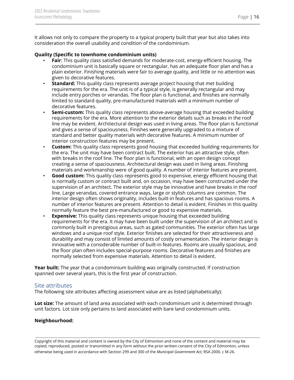It allows not only to compare the property to a typical property built that year but also takes into consideration the overall usability and condition of the condominium.

#### **Quality (Specific to townhome condominium units)**

- **Fair**: This quality class satisfied demands for moderate-cost, energy-efficient housing. The condominium unit is basically square or rectangular, has an adequate floor plan and has a plain exterior. Finishing materials were fair to average quality, and little or no attention was given to decorative features.
- **Standard:** This quality class represents average project housing that met building requirements for the era. The unit is of a typical style, is generally rectangular and may include entry porches or verandas. The floor plan is functional, and finishes are normally limited to standard quality, pre-manufactured materials with a minimum number of decorative features.
- **Semi-custom:** This quality class represents above-average housing that exceeded building requirements for the era. More attention to the exterior details such as breaks in the roof line may be evident. Architectural design was used in living areas. The floor plan is functional and gives a sense of spaciousness. Finishes were generally upgraded to a mixture of standard and better quality materials with decorative features. A minimum number of interior construction features may be present.
- **Custom:** This quality class represents good housing that exceeded building requirements for the era. The unit may have been contract built. The exterior has an attractive style, often with breaks in the roof line. The floor plan is functional, with an open design concept creating a sense of spaciousness. Architectural design was used in living areas. Finishing materials and workmanship were of good quality. A number of interior features are present.
- **Good custom:** This quality class represents good to expensive, energy efficient housing that is normally custom or contract built and, on occasion, may have been constructed under the supervision of an architect. The exterior style may be innovative and have breaks in the roof line. Large verandas, covered entrance ways, large or stylish columns are common. The interior design often shows originality, includes built-in features and has spacious rooms. A number of interior features are present. Attention to detail is evident. Finishes in this quality normally feature the best pre-manufactured or good to expensive materials.
- **Expensive:** This quality class represents unique housing that exceeded building requirements for the era. It may have been built under the supervision of an architect and is commonly built in prestigious areas, such as gated communities. The exterior often has large windows and a unique roof style. Exterior finishes are selected for their attractiveness and durability and may consist of limited amounts of costly ornamentation. The interior design is innovative with a considerable number of built-in features. Rooms are usually spacious, and the floor plan often includes special-purpose rooms. Decorative features and finishes are normally selected from expensive materials. Attention to detail is evident.

**Year built:** The year that a condominium building was originally constructed. If construction spanned over several years, this is the first year of construction.

## <span id="page-16-0"></span>Site attributes

The following site attributes affecting assessment value are as listed (alphabetically):

**Lot size:** The amount of land area associated with each condominium unit is determined through unit factors. Lot size only pertains to land associated with bare land condominium units.

## **Neighbourhood:**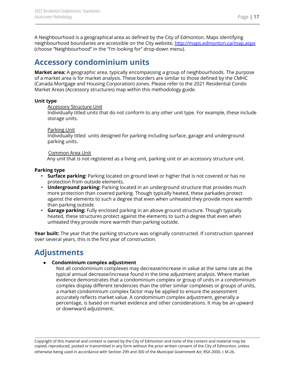A Neighbourhood is a geographical area as defined by the City of Edmonton. Maps identifying neighbourhood boundaries are accessible on the City website, <http://maps.edmonton.ca/map.aspx> (choose "Neighbourhood" in the "I'm looking for" drop-down menu).

## <span id="page-17-0"></span>**Accessory condominium units**

**Market area:** A geographic area, typically encompassing a group of neighbourhoods. The purpose of a market area is for market analysis. These borders are similar to those defined by the CMHC (Canada Mortgage and Housing Corporation) zones. Please refer to the 2021 Residential Condo Market Areas (Accessory structures) map within this methodology guide.

#### **Unit type**

#### **Accessory Structure Unit**

Individually titled units that do not conform to any other unit type. For example, these include storage units.

#### Parking Unit

Individually titled units designed for parking including surface, garage and underground parking units.

#### Common Area Unit

Any unit that is not registered as a living unit, parking unit or an accessory structure unit.

## **Parking type**

- **Surface parking:** Parking located on ground level or higher that is not covered or has no protection from outside elements.
- **Underground parking:** Parking located in an underground structure that provides much more protection than covered parking. Though typically heated, these parkades protect against the elements to such a degree that even when unheated they provide more warmth than parking outside.
- **Garage parking:** Fully enclosed parking in an above ground structure. Though typically heated, these structures protect against the elements to such a degree that even when unheated they provide more warmth than parking outside.

**Year built:** The year that the parking structure was originally constructed. If construction spanned over several years, this is the first year of construction.

# <span id="page-17-1"></span>**Adjustments**

## ● **Condominium complex adjustment**

Not all condominium complexes may decrease/increase in value at the same rate as the typical annual decrease/increase found in the time adjustment analysis. Where market evidence demonstrates that a condominium complex or group of units in a condominium complex display different tendencies than the other similar complexes or groups of units, a market condominium complex factor may be applied to ensure the assessment accurately reflects market value. A condominium complex adjustment, generally a percentage, is based on market evidence and other considerations. It may be an upward or downward adjustment.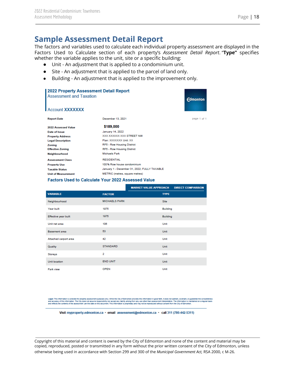## **Sample Assessment Detail Report**

The factors and variables used to calculate each individual property assessment are displayed in the Factors Used to Calculate section of each property's *Assessment Detail Report*. "**Type"** specifies whether the variable applies to the unit, site or a specific building:

- Unit An adjustment that is applied to a condominium unit.
- Site An adjustment that is applied to the parcel of land only.
- Building An adjustment that is applied to the improvement only.

| 2022 Property Assessment Detail Report<br><b>Assessment and Taxation</b><br><b>Account XXXXXXX</b> |                                              | <b>Edmonton</b> |
|----------------------------------------------------------------------------------------------------|----------------------------------------------|-----------------|
| <b>Report Date</b>                                                                                 | December 13, 2021                            | page 1 of 1     |
| 2022 Assessed Value                                                                                | \$189,000                                    |                 |
| Date of Issue                                                                                      | January 14, 2022                             |                 |
| <b>Property Address</b>                                                                            | <b>XXX XXXXXX XXX STREET NW</b>              |                 |
| <b>Legal Description</b>                                                                           | Plan: XXXXXXX Unit: XX                       |                 |
| Zoning                                                                                             | RF5 - Row Housing District                   |                 |
| <b>Effective Zoning</b>                                                                            | RF5 - Row Housing District                   |                 |
| Neighbourhood                                                                                      | <b>Michaels Park</b>                         |                 |
| <b>Assessment Class</b>                                                                            | <b>RESIDENTIAL</b>                           |                 |
| <b>Property Use</b>                                                                                | 100% Row house condominium                   |                 |
| <b>Taxable Status</b>                                                                              | January 1 - December 31, 2022; FULLY TAXABLE |                 |
| <b>Unit of Measurement</b>                                                                         | METRIC (metres, square metres)               |                 |

#### Factors Used to Calculate Your 2022 Assessed Value

|                       |                      | <b>MARKET VALUE APPROACH</b> | <b>DIRECT COMPARISON</b> |
|-----------------------|----------------------|------------------------------|--------------------------|
| <b>VARIABLE</b>       | <b>FACTOR</b>        | <b>TYPE</b>                  |                          |
| Neighbourhood         | <b>MICHAELS PARK</b> | <b>Site</b>                  |                          |
| Year built            | 1975                 | <b>Building</b>              |                          |
| Effective year built  | 1975                 | <b>Building</b>              |                          |
| Unit net area         | 106                  | Unit                         |                          |
| <b>Basement</b> area  | 53                   | Unit                         |                          |
| Attached carport area | 42                   | Unit                         |                          |
| Quality               | <b>STANDARD</b>      | Unit                         |                          |
| Storeys               | $\overline{2}$       | Unit                         |                          |
| Unit location         | <b>END UNIT</b>      | <b>Unit</b>                  |                          |
| Park view             | <b>OPEN</b>          | Unit                         |                          |

Legat: This information is collected for property assessment purposes only. While the City of Edmonton provides this information, provided in the formation of purposes in the formation of purposes in the interest of the in ned on a regular basis

Visit myproperty.edmonton.ca · email assessment@edmonton.ca · call 311 (780-442-5311)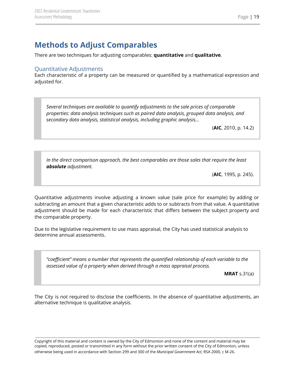# <span id="page-19-0"></span>**Methods to Adjust Comparables**

There are two techniques for adjusting comparables: **quantitative** and **qualitative**.

## <span id="page-19-1"></span>Quantitative Adjustments

Each characteristic of a property can be measured or quantified by a mathematical expression and adjusted for.

*Several techniques are available to quantify adjustments to the sale prices of comparable properties: data analysis techniques such as paired data analysis, grouped data analysis, and secondary data analysis, statistical analysis, including graphic analysis…*

(**AIC**, 2010, p. 14.2)

*In the direct comparison approach, the best comparables are those sales that require the least absolute adjustment.*

(**AIC**, 1995, p. 245).

Quantitative adjustments involve adjusting a known value (sale price for example) by adding or subtracting an amount that a given characteristic adds to or subtracts from that value. A quantitative adjustment should be made for each characteristic that differs between the subject property and the comparable property.

Due to the legislative requirement to use mass appraisal, the City has used statistical analysis to determine annual assessments.

*"coefficient" means a number that represents the quantified relationship of each variable to the assessed value of a property when derived through a mass appraisal process.*

**MRAT** s.31(a)

The City is not required to disclose the coefficients. In the absence of quantitative adjustments, an alternative technique is qualitative analysis.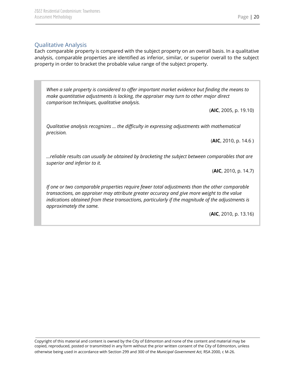## <span id="page-20-0"></span>Qualitative Analysis

Each comparable property is compared with the subject property on an overall basis. In a qualitative analysis, comparable properties are identified as inferior, similar, or superior overall to the subject property in order to bracket the probable value range of the subject property.

*When a sale property is considered to offer important market evidence but finding the means to make quantitative adjustments is lacking, the appraiser may turn to other major direct comparison techniques, qualitative analysis.*

(**AIC**, 2005, p. 19.10)

*Qualitative analysis recognizes … the difficulty in expressing adjustments with mathematical precision.*

(**AIC**, 2010, p. 14.6 )

*…reliable results can usually be obtained by bracketing the subject between comparables that are superior and inferior to it.*

(**AIC**, 2010, p. 14.7)

*If one or two comparable properties require fewer total adjustments than the other comparable transactions, an appraiser may attribute greater accuracy and give more weight to the value indications obtained from these transactions, particularly if the magnitude of the adjustments is approximately the same.*

(**AIC**, 2010, p. 13.16)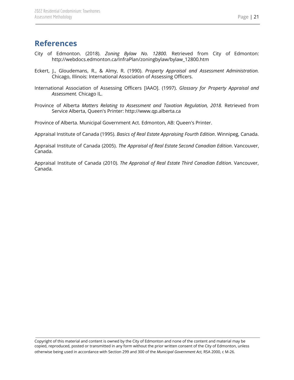## <span id="page-21-0"></span>**References**

- City of Edmonton. (2018). *Zoning Bylaw No. 12800.* Retrieved from City of Edmonton: http://webdocs.edmonton.ca/InfraPlan/zoningbylaw/bylaw\_12800.htm
- Eckert, J., Gloudemans, R., & Almy, R. (1990). *Property Appraisal and Assessment Administration.* Chicago, Illinois: International Association of Assessing Officers.
- International Association of Assessing Officers [IAAO]. (1997). *Glossary for Property Appraisal and Assessment.* Chicago IL.
- Province of Alberta *Matters Relating to Assessment and Taxation Regulation, 2018.* Retrieved from Service Alberta, Queen's Printer: http://www.qp.alberta.ca

Province of Alberta. Municipal Government Act. Edmonton, AB: Queen's Printer.

Appraisal Institute of Canada (1995). *Basics of Real Estate Appraising Fourth Edition*. Winnipeg, Canada.

Appraisal Institute of Canada (2005). *The Appraisal of Real Estate Second Canadian Edition*. Vancouver, Canada.

Appraisal Institute of Canada (2010). *The Appraisal of Real Estate Third Canadian Edition*. Vancouver, Canada.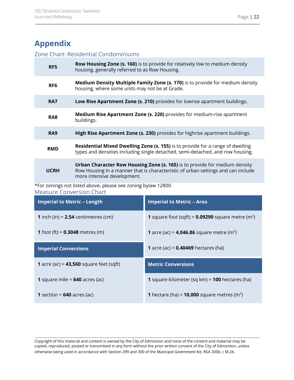# <span id="page-22-0"></span>**Appendix**

## <span id="page-22-1"></span>Zone Chart: Residential Condominiums

| RF5             | <b>Row Housing Zone (s. 160)</b> is to provide for relatively low to medium density<br>housing, generally referred to as Row Housing.                                                         |
|-----------------|-----------------------------------------------------------------------------------------------------------------------------------------------------------------------------------------------|
| RF <sub>6</sub> | <b>Medium Density Multiple Family Zone (s. 170)</b> is to provide for medium density<br>housing, where some units may not be at Grade.                                                        |
| <b>RA7</b>      | Low Rise Apartment Zone (s. 210) provides for lowrise apartment buildings.                                                                                                                    |
| RA <sub>8</sub> | <b>Medium Rise Apartment Zone (s. 220)</b> provides for medium-rise apartment<br>buildings.                                                                                                   |
| RA <sub>9</sub> | High Rise Apartment Zone (s. 230) provides for highrise apartment buildings.                                                                                                                  |
| <b>RMD</b>      | Residential Mixed Dwelling Zone (s. 155) is to provide for a range of dwelling<br>types and densities including single detached, semi-detached, and row housing.                              |
| <b>UCRH</b>     | Urban Character Row Housing Zone (s. 165) is to provide for medium density<br>Row Housing in a manner that is characteristic of urban settings and can include<br>more intensive development. |

<span id="page-22-2"></span>\*For zonings not listed above, please see zoning bylaw 12800. Measure Conversion Chart

| <b>Imperial to Metric - Length</b>           | <b>Imperial to Metric - Area</b>                                       |  |
|----------------------------------------------|------------------------------------------------------------------------|--|
| <b>1</b> inch (in) = $2.54$ centimetres (cm) | <b>1</b> square foot (sqft) = $0.09290$ square metre (m <sup>2</sup> ) |  |
| <b>1</b> foot (ft) = $0.3048$ metres (m)     | <b>1</b> acre (ac) = <b>4,046.86</b> square metre (m <sup>2</sup> )    |  |
| <b>Imperial Conversions</b>                  | <b>1</b> acre (ac) = $0.40469$ hectares (ha)                           |  |
| 1 acre (ac) = $43,560$ square feet (sqft)    | <b>Metric Conversions</b>                                              |  |
| <b>1</b> square mile = $640$ acres (ac)      | <b>1</b> square kilometer (sq km) = <b>100</b> hectares (ha)           |  |
| <b>1</b> section = $640$ acres (ac)          | <b>1</b> hectare (ha) = <b>10,000</b> square metres (m <sup>2</sup> )  |  |